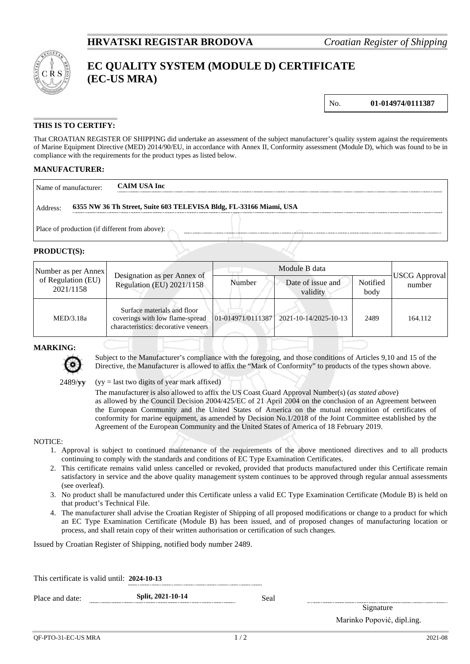

# **EC QUALITY SYSTEM (MODULE D) CERTIFICATE (EC-US MRA)**

No. **01-014974/0111387**

### **THIS IS TO CERTIFY:**

That CROATIAN REGISTER OF SHIPPING did undertake an assessment of the subject manufacturer's quality system against the requirements of Marine Equipment Directive (MED) 2014/90/EU, in accordance with Annex II, Conformity assessment (Module D), which was found to be in compliance with the requirements for the product types as listed below.

#### **MANUFACTURER:**

| Name of manufacturer:                                                          | <b>CAIM USA Inc</b>                            |  |  |  |
|--------------------------------------------------------------------------------|------------------------------------------------|--|--|--|
| 6355 NW 36 Th Street, Suite 603 TELEVISA Bldg, FL-33166 Miami, USA<br>Address: |                                                |  |  |  |
|                                                                                | Place of production (if different from above): |  |  |  |

#### **PRODUCT(S):**

| Number as per Annex<br>of Regulation (EU)<br>2021/1158 | Designation as per Annex of<br>Regulation (EU) 2021/1158                                              | Module B data |                                         |                  |                         |
|--------------------------------------------------------|-------------------------------------------------------------------------------------------------------|---------------|-----------------------------------------|------------------|-------------------------|
|                                                        |                                                                                                       | Number        | Date of issue and<br>validity           | Notified<br>body | USCG Approval<br>number |
| MED/3.18a                                              | Surface materials and floor<br>coverings with low flame-spread<br>characteristics: decorative veneers |               | 01-014971/0111387 2021-10-14/2025-10-13 | 2489             | 164.112                 |

#### **MARKING:**



Subject to the Manufacturer's compliance with the foregoing, and those conditions of Articles 9,10 and 15 of the Directive, the Manufacturer is allowed to affix the "Mark of Conformity" to products of the types shown above.

 $(yy =$  last two digits of year mark affixed)

The manufacturer is also allowed to affix the US Coast Guard Approval Number(s) (*as stated above*) as allowed by the Council Decision 2004/425/EC of 21 April 2004 on the conclusion of an Agreement between the European Community and the United States of America on the mutual recognition of certificates of conformity for marine equipment, as amended by Decision No.1/2018 of the Joint Committee established by the Agreement of the European Community and the United States of America of 18 February 2019.

#### NOTICE:

- 1. Approval is subject to continued maintenance of the requirements of the above mentioned directives and to all products continuing to comply with the standards and conditions of EC Type Examination Certificates.
- 2. This certificate remains valid unless cancelled or revoked, provided that products manufactured under this Certificate remain satisfactory in service and the above quality management system continues to be approved through regular annual assessments (see overleaf).
- 3. No product shall be manufactured under this Certificate unless a valid EC Type Examination Certificate (Module B) is held on that product's Technical File.
- 4. The manufacturer shall advise the Croatian Register of Shipping of all proposed modifications or change to a product for which an EC Type Examination Certificate (Module B) has been issued, and of proposed changes of manufacturing location or process, and shall retain copy of their written authorisation or certification of such changes.

Issued by Croatian Register of Shipping, notified body number 2489.

| This certificate is valid until: 2024-10-13 |                   |      |
|---------------------------------------------|-------------------|------|
| Place and date:                             | Split, 2021-10-14 | Seal |
|                                             |                   |      |

Signature Marinko Popović, dipl.ing.